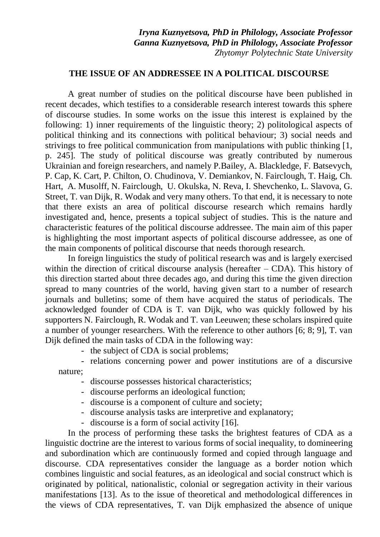*Iryna Kuznyetsova, PhD in Philology, Associate Professor Ganna Kuznyetsova, PhD in Philology, Associate Professor Zhytomyr Polytechnic State University*

## **THE ISSUE OF AN ADDRESSEE IN A POLITICAL DISCOURSE**

A great number of studies on the political discourse have been published in recent decades, which testifies to a considerable research interest towards this sphere of discourse studies. In some works on the issue this interest is explained by the following: 1) inner requirements of the linguistic theory; 2) politological aspects of political thinking and its connections with political behaviour; 3) social needs and strivings to free political communication from manipulations with public thinking [1, p. 245]. The study of political discourse was greatly contributed by numerous Ukrainian and foreign researchers, and namely P.Bailey, A. Blackledge, F. Batsevych, P. Cap, K. Cart, P. Chilton, O. Chudinova, V. Demiankov, N. Fairclough, T. Haig, Ch. Hart, A. Musolff, N. Fairclough, U. Okulska, N. Reva, I. Shevchenko, L. Slavova, G. Street, T. van Dijk, R. Wodak and very many others. To that end, it is necessary to note that there exists an area of political discourse research which remains hardly investigated and, hence, presents a topical subject of studies. This is the nature and characteristic features of the political discourse addressee. The main aim of this paper is highlighting the most important aspects of political discourse addressee, as one of the main components of political discourse that needs thorough research.

In foreign linguistics the study of political research was and is largely exercised within the direction of critical discourse analysis (hereafter  $-$  CDA). This history of this direction started about three decades ago, and during this time the given direction spread to many countries of the world, having given start to a number of research journals and bulletins; some of them have acquired the status of periodicals. The acknowledged founder of CDA is T. van Dijk, who was quickly followed by his supporters N. Fairclough, R. Wodak and T. van Leeuwen; these scholars inspired quite a number of younger researchers. With the reference to other authors [6; 8; 9], T. van Dijk defined the main tasks of CDA in the following way:

- the subject of CDA is social problems;

- relations concerning power and power institutions are of a discursive nature;

- discourse possesses historical characteristics;

- discourse performs an ideological function;
- discourse is a component of culture and society;
- discourse analysis tasks are interpretive and explanatory;
- discourse is a form of social activity [16].

In the process of performing these tasks the brightest features of CDA as a linguistic doctrine are the interest to various forms of social inequality, to domineering and subordination which are continuously formed and copied through language and discourse. CDA representatives consider the language as a border notion which combines linguistic and social features, as an ideological and social construct which is originated by political, nationalistic, colonial or segregation activity in their various manifestations [13]. As to the issue of theoretical and methodological differences in the views of CDA representatives, T. van Dijk emphasized the absence of unique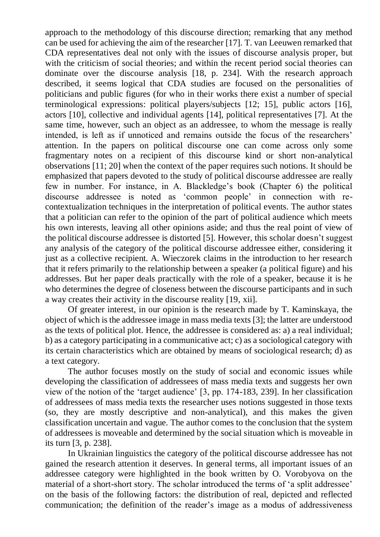approach to the methodology of this discourse direction; remarking that any method can be used for achieving the aim of the researcher [17]. T. van Leeuwen remarked that CDA representatives deal not only with the issues of discourse analysis proper, but with the criticism of social theories; and within the recent period social theories can dominate over the discourse analysis [18, p. 234]. With the research approach described, it seems logical that CDA studies are focused on the personalities of politicians and public figures (for who in their works there exist a number of special terminological expressions: political players/subjects [12; 15], public actors [16], actors [10], collective and individual agents [14], political representatives [7]. At the same time, however, such an object as an addressee, to whom the message is really intended, is left as if unnoticed and remains outside the focus of the researchers' attention. In the papers on political discourse one can come across only some fragmentary notes on a recipient of this discourse kind or short non-analytical observations [11; 20] when the context of the paper requires such notions. It should be emphasized that papers devoted to the study of political discourse addressee are really few in number. For instance, in A. Blackledge's book (Chapter 6) the political discourse addressee is noted as 'common people' in connection with recontextualization techniques in the interpretation of political events. The author states that a politician can refer to the opinion of the part of political audience which meets his own interests, leaving all other opinions aside; and thus the real point of view of the political discourse addressee is distorted [5]. However, this scholar doesn't suggest any analysis of the category of the political discourse addressee either, considering it just as a collective recipient. A. Wieczorek claims in the introduction to her research that it refers primarily to the relationship between a speaker (a political figure) and his addresses. But her paper deals practically with the role of a speaker, because it is he who determines the degree of closeness between the discourse participants and in such a way creates their activity in the discourse reality [19, xii].

Of greater interest, in our opinion is the research made by T. Kaminskaya, the object of which is the addressee image in mass media texts [3]; the latter are understood as the texts of political plot. Hence, the addressee is considered as: a) a real individual; b) as a category participating in a communicative act; c) as a sociological category with its certain characteristics which are obtained by means of sociological research; d) as a text category.

The author focuses mostly on the study of social and economic issues while developing the classification of addressees of mass media texts and suggests her own view of the notion of the 'target audience' [3, pp. 174-183, 239]. In her classification of addressees of mass media texts the researcher uses notions suggested in those texts (so, they are mostly descriptive and non-analytical), and this makes the given classification uncertain and vague. The author comes to the conclusion that the system of addressees is moveable and determined by the social situation which is moveable in its turn [3, p. 238].

In Ukrainian linguistics the category of the political discourse addressee has not gained the research attention it deserves. In general terms, all important issues of an addressee category were highlighted in the book written by O. Vorobyova on the material of a short-short story. The scholar introduced the terms of 'a split addressee' on the basis of the following factors: the distribution of real, depicted and reflected communication; the definition of the reader's image as a modus of addressiveness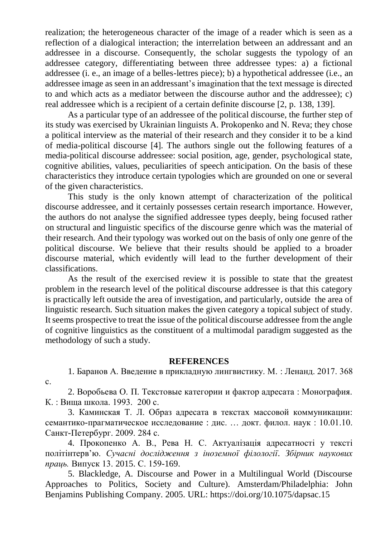realization; the heterogeneous character of the image of a reader which is seen as a reflection of a dialogical interaction; the interrelation between an addressant and an addressee in a discourse. Consequently, the scholar suggests the typology of an addressee category, differentiating between three addressee types: a) a fictional addressee (i. e., an image of a belles-lettres piece); b) a hypothetical addressee (i.e., an addressee image as seen in an addressant's imagination that the text message is directed to and which acts as a mediator between the discourse author and the addressee); c) real addressee which is a recipient of a certain definite discourse [2, p. 138, 139].

As a particular type of an addressee of the political discourse, the further step of its study was exercised by Ukrainian linguists A. Prokopenko and N. Reva; they chose a political interview as the material of their research and they consider it to be a kind of media-political discourse [4]. The authors single out the following features of a media-political discourse addressee: social position, age, gender, psychological state, cognitive abilities, values, peculiarities of speech anticipation. On the basis of these characteristics they introduce certain typologies which are grounded on one or several of the given characteristics.

This study is the only known attempt of characterization of the political discourse addressee, and it certainly possesses certain research importance. However, the authors do not analyse the signified addressee types deeply, being focused rather on structural and linguistic specifics of the discourse genre which was the material of their research. And their typology was worked out on the basis of only one genre of the political discourse. We believe that their results should be applied to a broader discourse material, which evidently will lead to the further development of their classifications.

As the result of the exercised review it is possible to state that the greatest problem in the research level of the political discourse addressee is that this category is practically left outside the area of investigation, and particularly, outside the area of linguistic research. Such situation makes the given category a topical subject of study. It seems prospective to treat the issue of the political discourse addressee from the angle of cognitive linguistics as the constituent of a multimodal paradigm suggested as the methodology of such a study.

## **REFERENCES**

1. Баранов А. Введение в прикладную лингвистику. М. : Ленанд. 2017. 368 с.

2. Воробьева О. П. Текстовые категории и фактор адресата : Монография. К. : Вища школа. 1993. 200 с.

3. Каминская Т. Л. Образ адресата в текстах массовой коммуникации: семантико-прагматическое исследование : дис. … докт. филол. наук : 10.01.10. Санкт-Петербург. 2009. 284 с.

4. Прокопенко А. В., Рева Н. С. Актуалізація адресатності у тексті політінтерв'ю. *Сучасні дослідження з іноземної філології*. *Збірник наукових праць.* Випуск 13. 2015. С. 159-169.

5. Blackledge, A. Discourse and Power in a Multilingual World (Discourse Approaches to Politics, Society and Culture). Amsterdam/Philadelphia: John Benjamins Publishing Company. 2005. URL: https://doi.org/10.1075/dapsac.15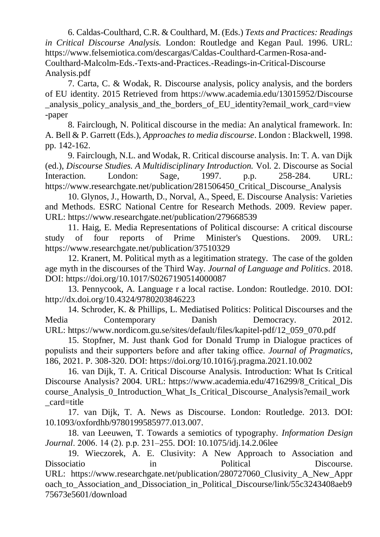6. Caldas-Coulthard, C.R. & Coulthard, M. (Eds.) *Texts and Practices: Readings in Critical Discourse Analysis.* London: Routledge and Kegan Paul. 1996. URL: [https://www.felsemiotica.com/descargas/Caldas-Coulthard-Carmen-Rosa-and-](https://www.felsemiotica.com/descargas/Caldas-Coulthard-Carmen-Rosa-and-Coulthard-Malcolm-Eds.-Texts-and-Practices.-Readings-in-Critical-Discourse%20Analysis.pdf)[Coulthard-Malcolm-Eds.-Texts-and-Practices.-Readings-in-Critical-Discourse](https://www.felsemiotica.com/descargas/Caldas-Coulthard-Carmen-Rosa-and-Coulthard-Malcolm-Eds.-Texts-and-Practices.-Readings-in-Critical-Discourse%20Analysis.pdf) [Analysis.pdf](https://www.felsemiotica.com/descargas/Caldas-Coulthard-Carmen-Rosa-and-Coulthard-Malcolm-Eds.-Texts-and-Practices.-Readings-in-Critical-Discourse%20Analysis.pdf)

7. Carta, C. & Wodak, R. Discourse analysis, policy analysis, and the borders of EU identity. 2015 Retrieved from [https://www.academia.edu/13015952/Discourse](https://www.academia.edu/13015952/Discourse_analysis_policy_analysis_and_the_borders_of_EU_identity?email_work_card=view-paper) [\\_analysis\\_policy\\_analysis\\_and\\_the\\_borders\\_of\\_EU\\_identity?email\\_work\\_card=view](https://www.academia.edu/13015952/Discourse_analysis_policy_analysis_and_the_borders_of_EU_identity?email_work_card=view-paper) [-paper](https://www.academia.edu/13015952/Discourse_analysis_policy_analysis_and_the_borders_of_EU_identity?email_work_card=view-paper)

8. Fairclough, N. Political discourse in the media: An analytical framework. In: A. Bell & P. Garrett (Eds.), *Approaches to media discourse*. London : Blackwell, 1998. pp. 142-162.

9. Fairclough, N.L. and Wodak, R. Critical discourse analysis. In: T. A. van Dijk (ed.), *Discourse Studies. A Multidisciplinary Introduction.* Vol. 2. Discourse as Social Interaction. London: Sage, 1997. p.p. 258-284. URL: [https://www.researchgate.net/publication/281506450\\_Critical\\_Discourse\\_Analysis](https://www.researchgate.net/publication/281506450_Critical_Discourse_Analysis)

10. Glynos, J., Howarth, D., Norval, A., Speed, E. Discourse Analysis: Varieties and Methods. ESRC National Centre for Research Methods. 2009. Review paper. URL:<https://www.researchgate.net/publication/279668539>

11. Haig, E. Media Representations of Political discourse: A critical discourse study of four reports of Prime Minister's Questions. 2009. URL: <https://www.researchgate.net/publication/37510329>

12. Kranert, M. Political myth as a legitimation strategy. The case of the golden age myth in the discourses of the Third Way. *Journal of Language and Politics*. 2018. DOI:<https://doi.org/10.1017/S0267190514000087>

13. Pennycook, A. Language r a local ractise. London: Routledge. 2010. DOI: <http://dx.doi.org/10.4324/9780203846223>

14. Schroder, K. & Phillips, L. Mediatised Politics: Political Discourses and the Media Contemporary Danish Democracy. 2012. URL: https://www.nordicom.gu.se/sites/default/files/kapitel-pdf/12\_059\_070.pdf

15. Stopfner, M. Just thank God for Donald Trump in Dialogue practices of populists and their supporters before and after taking office. *Journal of Pragmatics*, 186, 2021. P. 308-320. DOI: https://doi.org/10.1016/j.pragma.2021.10.002

16. van Dijk, T. A. Critical Discourse Analysis. Introduction: What Is Critical Discourse Analysis? 2004. URL: [https://www.academia.edu/4716299/8\\_Critical\\_Dis](https://www.academia.edu/4716299/8_Critical_Discourse_Analysis_0_Introduction_What_Is_Critical_Discourse_Analysis?email_work_card=title) [course\\_Analysis\\_0\\_Introduction\\_What\\_Is\\_Critical\\_Discourse\\_Analysis?email\\_work](https://www.academia.edu/4716299/8_Critical_Discourse_Analysis_0_Introduction_What_Is_Critical_Discourse_Analysis?email_work_card=title) [\\_card=title](https://www.academia.edu/4716299/8_Critical_Discourse_Analysis_0_Introduction_What_Is_Critical_Discourse_Analysis?email_work_card=title)

17. van Dijk, T. A. News as Discourse. London: Routledge. 2013. DOI: 10.1093/oxfordhb/9780199585977.013.007.

18. van Leeuwen, T. Towards a semiotics of typography. *Information Design Journal*. 2006. 14 (2). р.р. 231–255. DOI: 10.1075/idj.14.2.06lee

19. Wieczorek, A. E. Clusivity: A New Approach to Association and Dissociatio in Political Discourse. URL: [https://www.researchgate.net/publication/280727060\\_Clusivity\\_A\\_New\\_Appr](https://www.researchgate.net/publication/280727060_Clusivi ty_A_New_Approach_to_Association_and_Dissociation_in_Political_Discourse/link/55c3243408aeb975673e5601/download) oach to Association and Dissociation in Political Discourse/link/55c3243408aeb9 [75673e5601/download](https://www.researchgate.net/publication/280727060_Clusivi ty_A_New_Approach_to_Association_and_Dissociation_in_Political_Discourse/link/55c3243408aeb975673e5601/download)